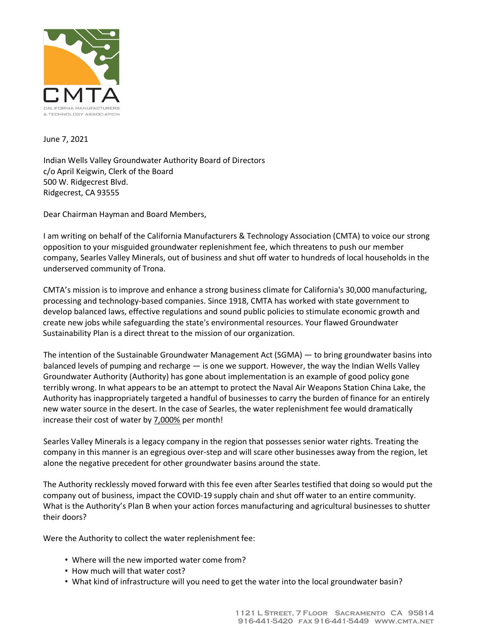

June 7, 2021

Indian Wells Valley Groundwater Authority Board of Directors c/o April Keigwin, Clerk of the Board 500 W. Ridgecrest Blvd. Ridgecrest, CA 93555

Dear Chairman Hayman and Board Members,

I am writing on behalf of the California Manufacturers & Technology Association (CMTA) to voice our strong opposition to your misguided groundwater replenishment fee, which threatens to push our member company, Searles Valley Minerals, out of business and shut off water to hundreds of local households in the underserved community of Trona.

CMTA's mission is to improve and enhance a strong business climate for California's 30,000 manufacturing, processing and technology-based companies. Since 1918, CMTA has worked with state government to develop balanced laws, effective regulations and sound public policies to stimulate economic growth and create new jobs while safeguarding the state's environmental resources. Your flawed Groundwater Sustainability Plan is a direct threat to the mission of our organization.

The intention of the Sustainable Groundwater Management Act (SGMA) — to bring groundwater basins into balanced levels of pumping and recharge — is one we support. However, the way the Indian Wells Valley Groundwater Authority (Authority) has gone about implementation is an example of good policy gone terribly wrong. In what appears to be an attempt to protect the Naval Air Weapons Station China Lake, the Authority has inappropriately targeted a handful of businesses to carry the burden of finance for an entirely new water source in the desert. In the case of Searles, the water replenishment fee would dramatically increase their cost of water by 7,000% per month!

Searles Valley Minerals is a legacy company in the region that possesses senior water rights. Treating the company in this manner is an egregious over-step and will scare other businesses away from the region, let alone the negative precedent for other groundwater basins around the state.

The Authority recklessly moved forward with this fee even after Searles testified that doing so would put the company out of business, impact the COVID-19 supply chain and shut off water to an entire community. What is the Authority's Plan B when your action forces manufacturing and agricultural businesses to shutter their doors?

Were the Authority to collect the water replenishment fee:

- Where will the new imported water come from?
- How much will that water cost?
- What kind of infrastructure will you need to get the water into the local groundwater basin?